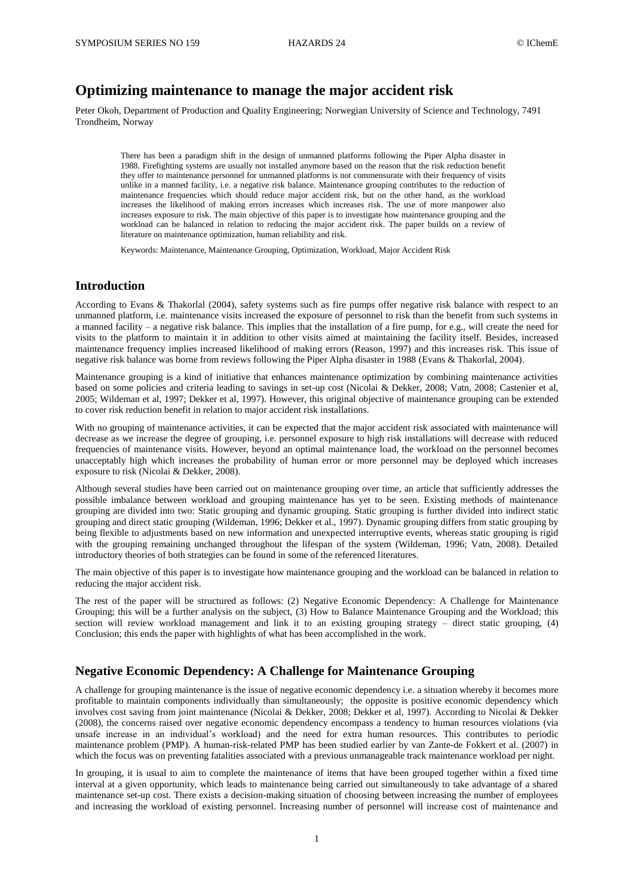# **Optimizing maintenance to manage the major accident risk**

Peter Okoh, Department of Production and Quality Engineering; Norwegian University of Science and Technology, 7491 Trondheim, Norway

There has been a paradigm shift in the design of unmanned platforms following the Piper Alpha disaster in 1988. Firefighting systems are usually not installed anymore based on the reason that the risk reduction benefit they offer to maintenance personnel for unmanned platforms is not commensurate with their frequency of visits unlike in a manned facility, i.e. a negative risk balance. Maintenance grouping contributes to the reduction of maintenance frequencies which should reduce major accident risk, but on the other hand, as the workload increases the likelihood of making errors increases which increases risk. The use of more manpower also increases exposure to risk. The main objective of this paper is to investigate how maintenance grouping and the workload can be balanced in relation to reducing the major accident risk. The paper builds on a review of literature on maintenance optimization, human reliability and risk.

Keywords: Maintenance, Maintenance Grouping, Optimization, Workload, Major Accident Risk

### **Introduction**

According to Evans & Thakorlal (2004), safety systems such as fire pumps offer negative risk balance with respect to an unmanned platform, i.e. maintenance visits increased the exposure of personnel to risk than the benefit from such systems in a manned facility – a negative risk balance. This implies that the installation of a fire pump, for e.g., will create the need for visits to the platform to maintain it in addition to other visits aimed at maintaining the facility itself. Besides, increased maintenance frequency implies increased likelihood of making errors (Reason, 1997) and this increases risk. This issue of negative risk balance was borne from reviews following the Piper Alpha disaster in 1988 (Evans & Thakorlal, 2004).

Maintenance grouping is a kind of initiative that enhances maintenance optimization by combining maintenance activities based on some policies and criteria leading to savings in set-up cost (Nicolai & Dekker, 2008; Vatn, 2008; Castenier et al, 2005; Wildeman et al, 1997; Dekker et al, 1997). However, this original objective of maintenance grouping can be extended to cover risk reduction benefit in relation to major accident risk installations.

With no grouping of maintenance activities, it can be expected that the major accident risk associated with maintenance will decrease as we increase the degree of grouping, i.e. personnel exposure to high risk installations will decrease with reduced frequencies of maintenance visits. However, beyond an optimal maintenance load, the workload on the personnel becomes unacceptably high which increases the probability of human error or more personnel may be deployed which increases exposure to risk (Nicolai & Dekker, 2008).

Although several studies have been carried out on maintenance grouping over time, an article that sufficiently addresses the possible imbalance between workload and grouping maintenance has yet to be seen. Existing methods of maintenance grouping are divided into two: Static grouping and dynamic grouping. Static grouping is further divided into indirect static grouping and direct static grouping (Wildeman, 1996; Dekker et al., 1997). Dynamic grouping differs from static grouping by being flexible to adjustments based on new information and unexpected interruptive events, whereas static grouping is rigid with the grouping remaining unchanged throughout the lifespan of the system (Wildeman, 1996; Vatn, 2008). Detailed introductory theories of both strategies can be found in some of the referenced literatures.

The main objective of this paper is to investigate how maintenance grouping and the workload can be balanced in relation to reducing the major accident risk.

The rest of the paper will be structured as follows: (2) Negative Economic Dependency: A Challenge for Maintenance Grouping; this will be a further analysis on the subject, (3) How to Balance Maintenance Grouping and the Workload; this section will review workload management and link it to an existing grouping strategy – direct static grouping, (4) Conclusion; this ends the paper with highlights of what has been accomplished in the work.

# **Negative Economic Dependency: A Challenge for Maintenance Grouping**

A challenge for grouping maintenance is the issue of negative economic dependency i.e. a situation whereby it becomes more profitable to maintain components individually than simultaneously; the opposite is positive economic dependency which involves cost saving from joint maintenance (Nicolai & Dekker, 2008; Dekker et al, 1997). According to Nicolai & Dekker (2008), the concerns raised over negative economic dependency encompass a tendency to human resources violations (via unsafe increase in an individual's workload) and the need for extra human resources. This contributes to periodic maintenance problem (PMP). A human-risk-related PMP has been studied earlier by van Zante-de Fokkert et al. (2007) in which the focus was on preventing fatalities associated with a previous unmanageable track maintenance workload per night.

In grouping, it is usual to aim to complete the maintenance of items that have been grouped together within a fixed time interval at a given opportunity, which leads to maintenance being carried out simultaneously to take advantage of a shared maintenance set-up cost. There exists a decision-making situation of choosing between increasing the number of employees and increasing the workload of existing personnel. Increasing number of personnel will increase cost of maintenance and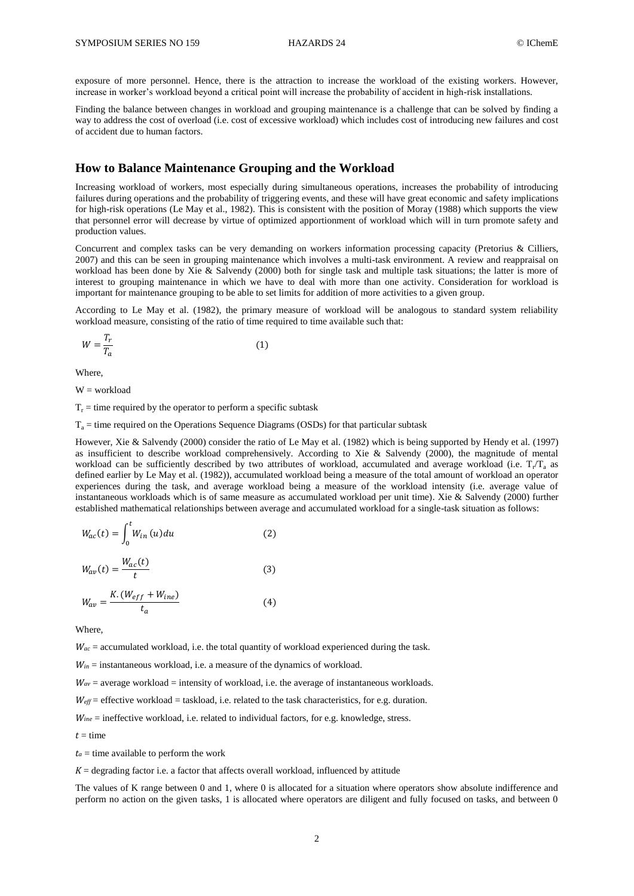exposure of more personnel. Hence, there is the attraction to increase the workload of the existing workers. However, increase in worker's workload beyond a critical point will increase the probability of accident in high-risk installations.

Finding the balance between changes in workload and grouping maintenance is a challenge that can be solved by finding a way to address the cost of overload (i.e. cost of excessive workload) which includes cost of introducing new failures and cost of accident due to human factors.

## **How to Balance Maintenance Grouping and the Workload**

Increasing workload of workers, most especially during simultaneous operations, increases the probability of introducing failures during operations and the probability of triggering events, and these will have great economic and safety implications for high-risk operations (Le May et al., 1982). This is consistent with the position of Moray (1988) which supports the view that personnel error will decrease by virtue of optimized apportionment of workload which will in turn promote safety and production values.

Concurrent and complex tasks can be very demanding on workers information processing capacity (Pretorius & Cilliers, 2007) and this can be seen in grouping maintenance which involves a multi-task environment. A review and reappraisal on workload has been done by Xie & Salvendy (2000) both for single task and multiple task situations; the latter is more of interest to grouping maintenance in which we have to deal with more than one activity. Consideration for workload is important for maintenance grouping to be able to set limits for addition of more activities to a given group.

According to Le May et al. (1982), the primary measure of workload will be analogous to standard system reliability workload measure, consisting of the ratio of time required to time available such that:

$$
W = \frac{T_r}{T_a} \tag{1}
$$

Where,

 $W = workload$ 

 $T_r$  = time required by the operator to perform a specific subtask

 $T_a$  = time required on the Operations Sequence Diagrams (OSDs) for that particular subtask

However, Xie & Salvendy (2000) consider the ratio of Le May et al. (1982) which is being supported by Hendy et al. (1997) as insufficient to describe workload comprehensively. According to Xie & Salvendy (2000), the magnitude of mental workload can be sufficiently described by two attributes of workload, accumulated and average workload (i.e.  $T_r/T_a$  as defined earlier by Le May et al. (1982)), accumulated workload being a measure of the total amount of workload an operator experiences during the task, and average workload being a measure of the workload intensity (i.e. average value of instantaneous workloads which is of same measure as accumulated workload per unit time). Xie & Salvendy (2000) further established mathematical relationships between average and accumulated workload for a single-task situation as follows:

$$
W_{ac}(t) = \int_0^t W_{in}(u) du
$$
 (2)

$$
W_{av}(t) = \frac{W_{ac}(t)}{t}
$$
 (3)

$$
W_{av} = \frac{K.(W_{eff} + W_{ine})}{t_a} \tag{4}
$$

Where,

 $W_{ac}$  = accumulated workload, i.e. the total quantity of workload experienced during the task.

*Win* = instantaneous workload, i.e. a measure of the dynamics of workload.

 $W_{av}$  = average workload = intensity of workload, i.e. the average of instantaneous workloads.

*Weff* = effective workload = taskload, i.e. related to the task characteristics, for e.g. duration.

*Wine* = ineffective workload, i.e. related to individual factors, for e.g. knowledge, stress.

$$
t = \text{time}
$$

 $t_a$  = time available to perform the work

 $K =$  degrading factor i.e. a factor that affects overall workload, influenced by attitude

The values of K range between 0 and 1, where 0 is allocated for a situation where operators show absolute indifference and perform no action on the given tasks, 1 is allocated where operators are diligent and fully focused on tasks, and between 0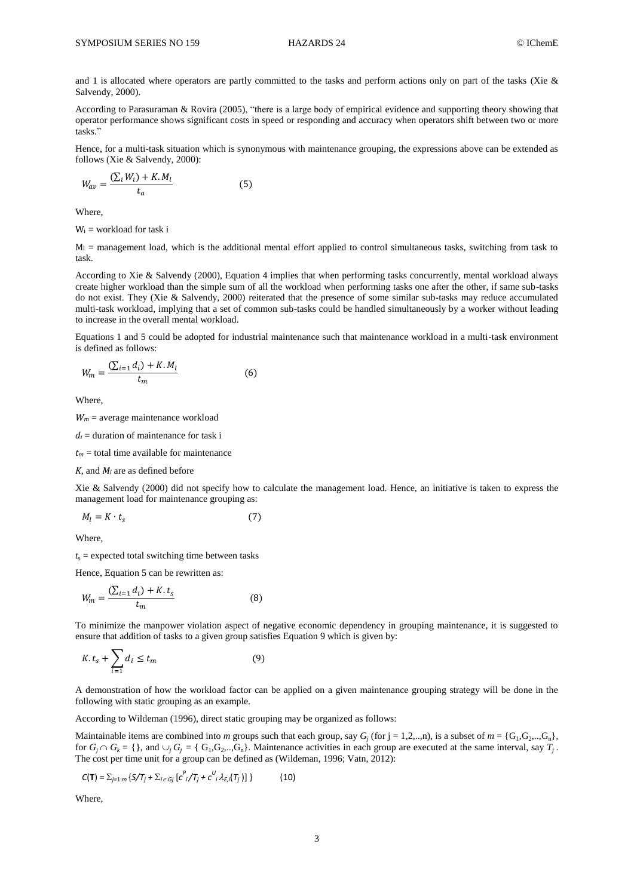and 1 is allocated where operators are partly committed to the tasks and perform actions only on part of the tasks (Xie & Salvendy, 2000).

According to Parasuraman & Rovira (2005), "there is a large body of empirical evidence and supporting theory showing that operator performance shows significant costs in speed or responding and accuracy when operators shift between two or more tasks."

Hence, for a multi-task situation which is synonymous with maintenance grouping, the expressions above can be extended as follows (Xie & Salvendy, 2000):

$$
W_{av} = \frac{\left(\sum_{i} W_{i}\right) + K.M_{l}}{t_{a}}\tag{5}
$$

Where,

 $W_i$  = workload for task i

 $M<sub>l</sub>$  = management load, which is the additional mental effort applied to control simultaneous tasks, switching from task to task.

According to Xie & Salvendy (2000), Equation 4 implies that when performing tasks concurrently, mental workload always create higher workload than the simple sum of all the workload when performing tasks one after the other, if same sub-tasks do not exist. They (Xie & Salvendy, 2000) reiterated that the presence of some similar sub-tasks may reduce accumulated multi-task workload, implying that a set of common sub-tasks could be handled simultaneously by a worker without leading to increase in the overall mental workload.

Equations 1 and 5 could be adopted for industrial maintenance such that maintenance workload in a multi-task environment is defined as follows:

$$
W_m = \frac{(\sum_{i=1} d_i) + K.M_l}{t_m}
$$
 (6)

Where,

 $W_m$  = average maintenance workload

 $d_i$  = duration of maintenance for task i

 $t_m$  = total time available for maintenance

*K*, and *M<sup>l</sup>* are as defined before

Xie & Salvendy (2000) did not specify how to calculate the management load. Hence, an initiative is taken to express the management load for maintenance grouping as:

$$
M_l = K \cdot t_s \tag{7}
$$

Where,

 $t_s$  = expected total switching time between tasks

Hence, Equation 5 can be rewritten as:

$$
W_m = \frac{(\sum_{i=1} d_i) + K \cdot t_s}{t_m}
$$
 (8)

To minimize the manpower violation aspect of negative economic dependency in grouping maintenance, it is suggested to ensure that addition of tasks to a given group satisfies Equation 9 which is given by:

$$
K.t_s + \sum_{i=1} d_i \le t_m \tag{9}
$$

A demonstration of how the workload factor can be applied on a given maintenance grouping strategy will be done in the following with static grouping as an example.

According to Wildeman (1996), direct static grouping may be organized as follows:

Maintainable items are combined into *m* groups such that each group, say  $G_j$  (for  $j = 1, 2, ..., n$ ), is a subset of  $m = \{G_1, G_2, ..., G_n\}$ , for  $G_j \cap G_k = \{$ , and  $\cup_j G_j = \{ G_1, G_2, ..., G_n \}$ . Maintenance activities in each group are executed at the same interval, say  $T_j$ . The cost per time unit for a group can be defined as (Wildeman, 1996; Vatn, 2012):

$$
C(\mathbf{T}) = \sum_{j=1:m} \{ S/\mathcal{T}_j + \sum_{i \in Gj} [c^P_{i}/\mathcal{T}_j + c^U_{i} \lambda_{E,i}(\mathcal{T}_j) ] \}
$$
(10)

Where,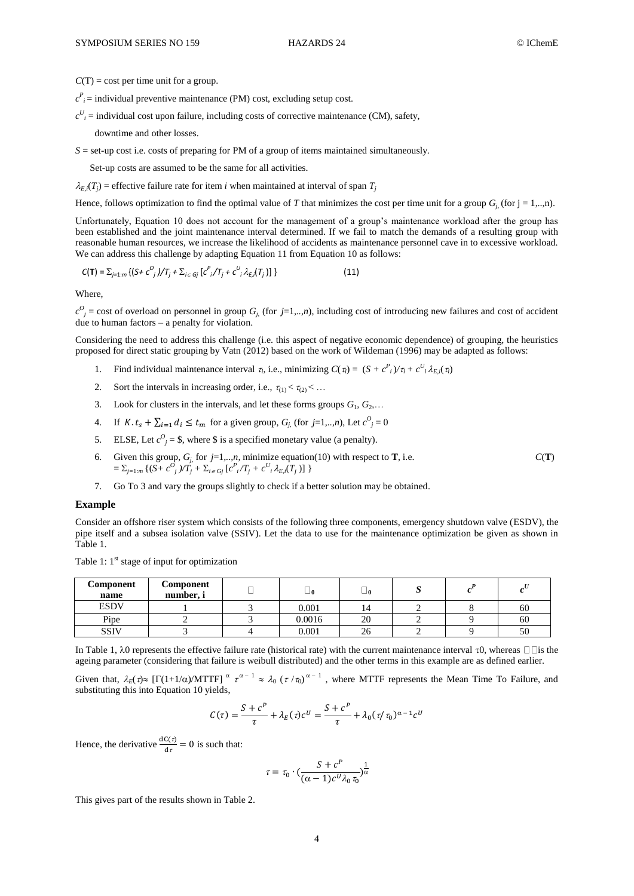$C(T) = \text{cost per time unit for a group.}$ 

 $c^P$ <sub>*i*</sub> = individual preventive maintenance (PM) cost, excluding setup cost.

 $c^U_i$  = individual cost upon failure, including costs of corrective maintenance (CM), safety,

downtime and other losses.

*S* = set-up cost i.e. costs of preparing for PM of a group of items maintained simultaneously.

Set-up costs are assumed to be the same for all activities.

 $\lambda_{E,i}(T_j)$  = effective failure rate for item *i* when maintained at interval of span  $T_j$ 

Hence, follows optimization to find the optimal value of *T* that minimizes the cost per time unit for a group  $G_i$  (for j = 1,..,n).

Unfortunately, Equation 10 does not account for the management of a group's maintenance workload after the group has been established and the joint maintenance interval determined. If we fail to match the demands of a resulting group with reasonable human resources, we increase the likelihood of accidents as maintenance personnel cave in to excessive workload. We can address this challenge by adapting Equation 11 from Equation 10 as follows:

$$
C(T) = \sum_{j=1:m} \{ (S + c^{O_j})/T_j + \sum_{i \in G_j} [c^{P_i}/T_j + c^{U_i} \lambda_{E,i}(T_j)] \}
$$
(11)

Where,

 $c^O$ <sub>*j*</sub> = cost of overload on personnel in group *G*<sub>*j*</sub> (for *j*=1,..,*n*), including cost of introducing new failures and cost of accident due to human factors – a penalty for violation.

Considering the need to address this challenge (i.e. this aspect of negative economic dependence) of grouping, the heuristics proposed for direct static grouping by Vatn (2012) based on the work of Wildeman (1996) may be adapted as follows:

- 1. Find individual maintenance interval  $\tau_i$ , i.e., minimizing  $C(\tau_i) = (S + c^P_i)/\tau_i + c^U_i \lambda_{E,i}(\tau_i)$
- 2. Sort the intervals in increasing order, i.e.,  $\tau_{(1)} < \tau_{(2)} < ...$
- 3. Look for clusters in the intervals, and let these forms groups  $G_1, G_2, \ldots$
- 4. If  $K \tcdot t_s + \sum_{i=1}^n d_i \leq t_m$  for a given group,  $G_j$  (for  $j=1,...,n$ ), Let  $c^0 j = 0$
- 5. ELSE, Let  $c^0_j =$  \$, where \$ is a specified monetary value (a penalty).
- 6. Given this group,  $G_j$  for  $j=1,..,n$ , minimize equation(10) with respect to **T**, i.e.  $C(T)$  $= \sum_{j=1:m} \{ (S + c^O_j) / T_j + \sum_{i \in G_j} [c^P_i / T_j + c^U_i \lambda_{E,i}(T_j)] \}$
- 7. Go To 3 and vary the groups slightly to check if a better solution may be obtained.

#### **Example**

Consider an offshore riser system which consists of the following three components, emergency shutdown valve (ESDV), the pipe itself and a subsea isolation valve (SSIV). Let the data to use for the maintenance optimization be given as shown in Table 1.

Table 1:  $1<sup>st</sup>$  stage of input for optimization

| Component<br>name | Component<br>number, i | டா     | $\sqcup$ 0 | ີ |    |
|-------------------|------------------------|--------|------------|---|----|
| <b>ESDV</b>       |                        | 0.001  | 14         |   | 60 |
| Pipe              |                        | 0.0016 | 20         |   | 60 |
| <b>SSIV</b>       |                        | 0.001  | 26         |   | 50 |

In Table 1,  $\lambda$ 0 represents the effective failure rate (historical rate) with the current maintenance interval  $\tau$ 0, whereas  $\Box$  is the ageing parameter (considering that failure is weibull distributed) and the other terms in this example are as defined earlier.

Given that,  $\lambda_E(\tau) \approx [\Gamma(1+1/\alpha)/MTTF]$   $\alpha \tau^{\alpha-1} \approx \lambda_0 (\tau/\tau_0)^{\alpha-1}$ , where MTTF represents the Mean Time To Failure, and substituting this into Equation 10 yields,

$$
C(\tau) = \frac{S + c^{P}}{\tau} + \lambda_{E}(\tau) c^{U} = \frac{S + c^{P}}{\tau} + \lambda_{0} (\tau / \tau_{0})^{\alpha - 1} c^{U}
$$

Hence, the derivative  $\frac{dC(\tau)}{d\tau} = 0$  is such that:

$$
\tau = \tau_0 \cdot \left(\frac{S + c^P}{(\alpha - 1)c^U\lambda_0\tau_0}\right)^{\frac{1}{\alpha}}
$$

This gives part of the results shown in Table 2.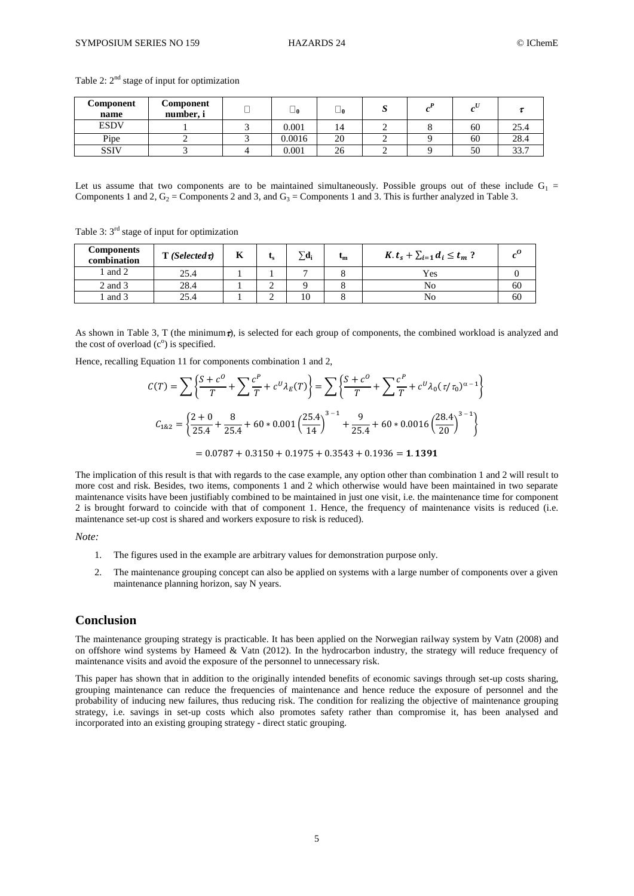| Component<br>name | Component<br>number, i | ∟ റ    | ப  | ມ |    |      |
|-------------------|------------------------|--------|----|---|----|------|
| <b>ESDV</b>       |                        | 0.001  | 14 |   | 60 | 25.4 |
| Pipe              |                        | 0.0016 | 20 |   | 60 | 28.4 |
| <b>SSIV</b>       |                        | 0.001  | 26 |   | 50 | 33.7 |

Table 2:  $2<sup>nd</sup>$  stage of input for optimization

Let us assume that two components are to be maintained simultaneously. Possible groups out of these include  $G_1$  = Components 1 and 2,  $G_2$  = Components 2 and 3, and  $G_3$  = Components 1 and 3. This is further analyzed in Table 3.

Table 3: 3<sup>rd</sup> stage of input for optimization

| <b>Components</b><br>combination | $T(Selected \tau)$ | R. | ις | $\nabla d_i$ | $\mathbf{m}$ | $K_t, t_s + \sum_{i=1}^s d_i \leq t_m$ ? |    |
|----------------------------------|--------------------|----|----|--------------|--------------|------------------------------------------|----|
| l and 2                          | 25.4               |    |    |              |              | Yes                                      |    |
| 2 and 3                          | 28.4               |    |    |              |              | No                                       | 60 |
| and 3                            | 25.4               |    |    | 10           |              | No                                       | 60 |

As shown in Table 3, T (the minimum $\tau$ ), is selected for each group of components, the combined workload is analyzed and the cost of overload  $(c<sup>o</sup>)$  is specified.

Hence, recalling Equation 11 for components combination 1 and 2,

$$
C(T) = \sum \left\{ \frac{S + c^0}{T} + \sum \frac{c^P}{T} + c^U \lambda_E(T) \right\} = \sum \left\{ \frac{S + c^0}{T} + \sum \frac{c^P}{T} + c^U \lambda_0 (\tau/\tau_0)^{\alpha - 1} \right\}
$$
  

$$
C_{182} = \left\{ \frac{2 + 0}{25.4} + \frac{8}{25.4} + 60 * 0.001 \left( \frac{25.4}{14} \right)^{3 - 1} + \frac{9}{25.4} + 60 * 0.0016 \left( \frac{28.4}{20} \right)^{3 - 1} \right\}
$$
  
= 0.0787 + 0.3150 + 0.1975 + 0.3543 + 0.1936 = **1.1391**

The implication of this result is that with regards to the case example, any option other than combination 1 and 2 will result to more cost and risk. Besides, two items, components 1 and 2 which otherwise would have been maintained in two separate maintenance visits have been justifiably combined to be maintained in just one visit, i.e. the maintenance time for component 2 is brought forward to coincide with that of component 1. Hence, the frequency of maintenance visits is reduced (i.e. maintenance set-up cost is shared and workers exposure to risk is reduced).

*Note:* 

- 1. The figures used in the example are arbitrary values for demonstration purpose only.
- 2. The maintenance grouping concept can also be applied on systems with a large number of components over a given maintenance planning horizon, say N years.

#### **Conclusion**

The maintenance grouping strategy is practicable. It has been applied on the Norwegian railway system by Vatn (2008) and on offshore wind systems by Hameed & Vatn (2012). In the hydrocarbon industry, the strategy will reduce frequency of maintenance visits and avoid the exposure of the personnel to unnecessary risk.

This paper has shown that in addition to the originally intended benefits of economic savings through set-up costs sharing, grouping maintenance can reduce the frequencies of maintenance and hence reduce the exposure of personnel and the probability of inducing new failures, thus reducing risk. The condition for realizing the objective of maintenance grouping strategy, i.e. savings in set-up costs which also promotes safety rather than compromise it, has been analysed and incorporated into an existing grouping strategy - direct static grouping.